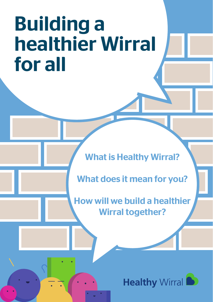# Building a healthier Wirral for all

What is Healthy Wirral?

What does it mean for you?

How will we build a healthier Wirral together?

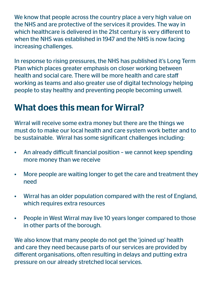We know that people across the country place a very high value on the NHS and are protective of the services it provides. The way in which healthcare is delivered in the 21st century is very different to when the NHS was established in 1947 and the NHS is now facing increasing challenges.

In response to rising pressures, the NHS has published it's Long Term Plan which places greater emphasis on closer working between health and social care. There will be more health and care staff working as teams and also greater use of digital technology helping people to stay healthy and preventing people becoming unwell.

### What does this mean for Wirral?

Wirral will receive some extra money but there are the things we must do to make our local health and care system work better and to be sustainable. Wirral has some significant challenges including:

- An already difficult financial position we cannot keep spending more money than we receive
- More people are waiting longer to get the care and treatment they need
- Wirral has an older population compared with the rest of England, which requires extra resources
- People in West Wirral may live 10 years longer compared to those in other parts of the borough.

We also know that many people do not get the 'joined up' health and care they need because parts of our services are provided by different organisations, often resulting in delays and putting extra pressure on our already stretched local services.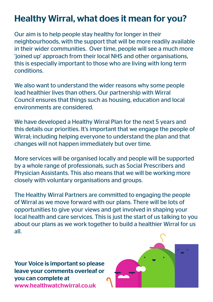## Healthy Wirral, what does it mean for you?

Our aim is to help people stay healthy for longer in their neighbourhoods, with the support that will be more readily available in their wider communities. Over time, people will see a much more 'joined up' approach from their local NHS and other organisations, this is especially important to those who are living with long term conditions.

We also want to understand the wider reasons why some people lead healthier lives than others. Our partnership with Wirral Council ensures that things such as housing, education and local environments are considered.

We have developed a Healthy Wirral Plan for the next 5 years and this details our priorities. It's important that we engage the people of Wirral; including helping everyone to understand the plan and that changes will not happen immediately but over time.

More services will be organised locally and people will be supported by a whole range of professionals, such as Social Prescribers and Physician Assistants. This also means that we will be working more closely with voluntary organisations and groups.

The Healthy Wirral Partners are committed to engaging the people of Wirral as we move forward with our plans. There will be lots of opportunities to give your views and get involved in shaping your local health and care services. This is just the start of us talking to you about our plans as we work together to build a healthier Wirral for us all.

Your Voice is important so please leave your comments overleaf or you can complete at www.healthwatchwirral.co.uk

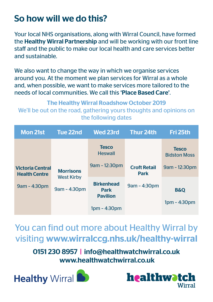## So how will we do this?

Your local NHS organisations, along with Wirral Council, have formed the Healthy Wirral Partnership and will be working with our front line staff and the public to make our local health and care services better and sustainable.

We also want to change the way in which we organise services around you. At the moment we plan services for Wirral as a whole and, when possible, we want to make services more tailored to the needs of local communities. We call this 'Place Based Care'.

The Healthy Wirral Roadshow October 2019 We'll be out on the road, gathering yours thoughts and opinions on the following dates

| <b>Mon 21st</b>                                 | Tue 22nd                                              | <b>Wed 23rd</b>                                     | Thur 24th                                          | Fri 25th                            |
|-------------------------------------------------|-------------------------------------------------------|-----------------------------------------------------|----------------------------------------------------|-------------------------------------|
|                                                 |                                                       | <b>Tesco</b><br><b>Heswall</b>                      |                                                    | <b>Tesco</b><br><b>Bidston Moss</b> |
| <b>Victoria Central</b><br><b>Health Centre</b> | <b>Morrisons</b><br><b>West Kirby</b><br>9am - 4:30pm | 9am - 12:30pm                                       | <b>Croft Retail</b><br><b>Park</b><br>9am - 4:30pm | 9am - 12:30pm                       |
| 9am - 4:30pm                                    |                                                       | <b>Birkenhead</b><br><b>Park</b><br><b>Pavilion</b> |                                                    | <b>B&amp;O</b>                      |
|                                                 |                                                       | $1pm - 4:30pm$                                      |                                                    | $1pm - 4:30pm$                      |

You can find out more about Healthy Wirral by visiting www.wirralccg.nhs.uk/healthy-wirral

0151 230 8957 | info@healthwatchwirral.co.uk www.healthwatchwirral.co.uk



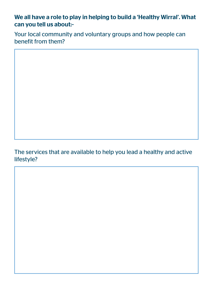#### We all have a role to play in helping to build a 'Healthy Wirral'. What can you tell us about:-

Your local community and voluntary groups and how people can benefit from them?

#### The services that are available to help you lead a healthy and active lifestyle?